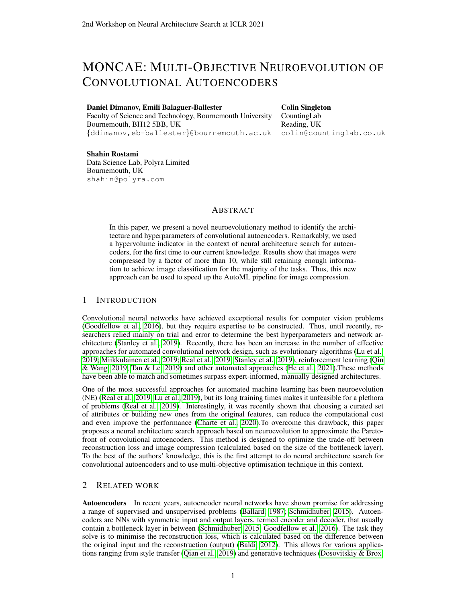# MONCAE: MULTI-OBJECTIVE NEUROEVOLUTION OF CONVOLUTIONAL AUTOENCODERS

### Daniel Dimanov, Emili Balaguer-Ballester

Faculty of Science and Technology, Bournemouth University Bournemouth, BH12 5BB, UK {ddimanov,eb-ballester}@bournemouth.ac.uk

Colin Singleton CountingLab Reading, UK colin@countinglab.co.uk

### Shahin Rostami Data Science Lab, Polyra Limited Bournemouth, UK shahin@polyra.com

# ABSTRACT

In this paper, we present a novel neuroevolutionary method to identify the architecture and hyperparameters of convolutional autoencoders. Remarkably, we used a hypervolume indicator in the context of neural architecture search for autoencoders, for the first time to our current knowledge. Results show that images were compressed by a factor of more than 10, while still retaining enough information to achieve image classification for the majority of the tasks. Thus, this new approach can be used to speed up the AutoML pipeline for image compression.

# 1 INTRODUCTION

Convolutional neural networks have achieved exceptional results for computer vision problems [\(Goodfellow et al., 2016\)](#page-4-0), but they require expertise to be constructed. Thus, until recently, researchers relied mainly on trial and error to determine the best hyperparameters and network architecture [\(Stanley et al., 2019\)](#page-5-0). Recently, there has been an increase in the number of effective approaches for automated convolutional network design, such as evolutionary algorithms [\(Lu et al.,](#page-5-1) [2019;](#page-5-1) [Miikkulainen et al., 2019;](#page-5-2) [Real et al., 2019;](#page-5-3) [Stanley et al., 2019\)](#page-5-0), reinforcement learning [\(Qin](#page-5-4) [& Wang, 2019;](#page-5-4) [Tan & Le, 2019\)](#page-5-5) and other automated approaches [\(He et al., 2021\)](#page-4-1).These methods have been able to match and sometimes surpass expert-informed, manually designed architectures.

One of the most successful approaches for automated machine learning has been neuroevolution (NE) [\(Real et al., 2019;](#page-5-3) [Lu et al., 2019\)](#page-5-1), but its long training times makes it unfeasible for a plethora of problems [\(Real et al., 2019\)](#page-5-3). Interestingly, it was recently shown that choosing a curated set of attributes or building new ones from the original features, can reduce the computational cost and even improve the performance [\(Charte et al., 2020\)](#page-4-2).To overcome this drawback, this paper proposes a neural architecture search approach based on neuroevolution to approximate the Paretofront of convolutional autoencoders. This method is designed to optimize the trade-off between reconstruction loss and image compression (calculated based on the size of the bottleneck layer). To the best of the authors' knowledge, this is the first attempt to do neural architecture search for convolutional autoencoders and to use multi-objective optimisation technique in this context.

# 2 RELATED WORK

Autoencoders In recent years, autoencoder neural networks have shown promise for addressing a range of supervised and unsupervised problems [\(Ballard, 1987;](#page-4-3) [Schmidhuber, 2015\)](#page-5-6). Autoencoders are NNs with symmetric input and output layers, termed encoder and decoder, that usually contain a bottleneck layer in between [\(Schmidhuber, 2015;](#page-5-6) [Goodfellow et al., 2016\)](#page-4-0). The task they solve is to minimise the reconstruction loss, which is calculated based on the difference between the original input and the reconstruction (output) [\(Baldi, 2012\)](#page-4-4). This allows for various applications ranging from style transfer [\(Qian et al., 2019\)](#page-5-7) and generative techniques [\(Dosovitskiy & Brox,](#page-4-5)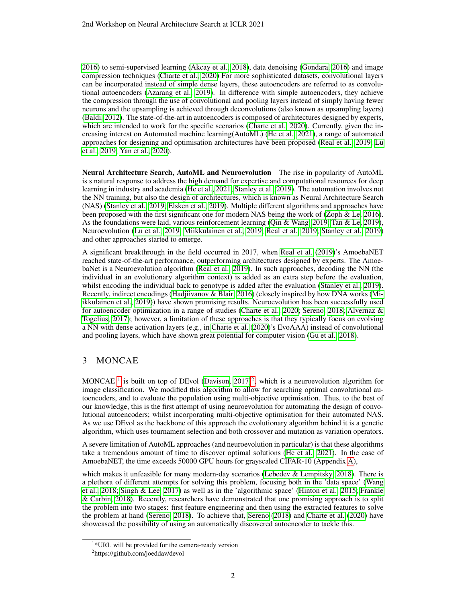[2016\)](#page-4-5) to semi-supervised learning [\(Akcay et al., 2018\)](#page-4-6), data denoising [\(Gondara, 2016\)](#page-4-7) and image compression techniques [\(Charte et al., 2020\)](#page-4-2) For more sophisticated datasets, convolutional layers can be incorporated instead of simple dense layers, these autoencoders are referred to as convolutional autoencoders [\(Azarang et al., 2019\)](#page-4-8). In difference with simple autoencoders, they achieve the compression through the use of convolutional and pooling layers instead of simply having fewer neurons and the upsampling is achieved through deconvolutions (also known as upsampling layers) [\(Baldi, 2012\)](#page-4-4). The state-of-the-art in autoencoders is composed of architectures designed by experts, which are intended to work for the specific scenarios [\(Charte et al., 2020\)](#page-4-2). Currently, given the increasing interest on Automated machine learning(AutoML) [\(He et al., 2021\)](#page-4-1), a range of automated approaches for designing and optimisation architectures have been proposed [\(Real et al., 2019;](#page-5-3) [Lu](#page-5-1) [et al., 2019;](#page-5-1) [Yan et al., 2020\)](#page-5-8).

Neural Architecture Search, AutoML and Neuroevolution The rise in popularity of AutoML is s natural response to address the high demand for expertise and computational resources for deep learning in industry and academia [\(He et al., 2021;](#page-4-1) [Stanley et al., 2019\)](#page-5-0). The automation involves not the NN training, but also the design of architectures, which is known as Neural Architecture Search (NAS) [\(Stanley et al., 2019;](#page-5-0) [Elsken et al., 2019\)](#page-4-9). Multiple different algorithms and approaches have been proposed with the first significant one for modern NAS being the work of [\(Zoph & Le, 2016\)](#page-5-9). As the foundations were laid, various reinforcement learning [\(Qin & Wang, 2019;](#page-5-4) [Tan & Le, 2019\)](#page-5-5), Neuroevolution [\(Lu et al., 2019;](#page-5-1) [Miikkulainen et al., 2019;](#page-5-2) [Real et al., 2019;](#page-5-3) [Stanley et al., 2019\)](#page-5-0) and other approaches started to emerge.

A significant breakthrough in the field occurred in 2017, when [Real et al.](#page-5-3) [\(2019\)](#page-5-3)'s AmoebaNET reached state-of-the-art performance, outperforming architectures designed by experts. The AmoebaNet is a Neuroevolution algorithm [\(Real et al., 2019\)](#page-5-3). In such approaches, decoding the NN (the individual in an evolutionary algorithm context) is added as an extra step before the evaluation, whilst encoding the individual back to genotype is added after the evaluation [\(Stanley et al., 2019\)](#page-5-0). Recently, indirect encodings [\(Hadjiivanov & Blair, 2016\)](#page-4-10) (closely inspired by how DNA works [\(Mi](#page-5-2)[ikkulainen et al., 2019\)](#page-5-2)) have shown promising results. Neuroevolution has been successfully used for autoencoder optimization in a range of studies [\(Charte et al., 2020;](#page-4-2) [Sereno, 2018;](#page-5-10) [Alvernaz &](#page-4-11) [Togelius, 2017\)](#page-4-11); however, a limitation of these approaches is that they typically focus on evolving a NN with dense activation layers (e.g., in [Charte et al.](#page-4-2) [\(2020\)](#page-4-2)'s EvoAAA) instead of convolutional and pooling layers, which have shown great potential for computer vision [\(Gu et al., 2018\)](#page-4-12).

# 3 MONCAE

MONCAE<sup>[1](#page-1-0)</sup> is built on top of DEvol [\(Davison, 2017\)](#page-4-13)<sup>[2](#page-1-1)</sup>, which is a neuroevolution algorithm for image classification. We modified this algorithm to allow for searching optimal convolutional autoencoders, and to evaluate the population using multi-objective optimisation. Thus, to the best of our knowledge, this is the first attempt of using neuroevolution for automating the design of convolutional autoencoders; whilst incorporating multi-objective optimisation for their automated NAS. As we use DEvol as the backbone of this approach the evolutionary algorithm behind it is a genetic algorithm, which uses tournament selection and both crossover and mutation as variation operators.

A severe limitation of AutoML approaches (and neuroevolution in particular) is that these algorithms take a tremendous amount of time to discover optimal solutions [\(He et al., 2021\)](#page-4-1). In the case of AmoebaNET, the time exceeds 50000 GPU hours for grayscaled CIFAR-10 (Appendix [A\)](#page-6-0),

which makes it unfeasible for many modern-day scenarios [\(Lebedev & Lempitsky, 2018\)](#page-4-14). There is a plethora of different attempts for solving this problem, focusing both in the 'data space' [\(Wang](#page-5-11) [et al., 2018;](#page-5-11) [Singh & Lee, 2017\)](#page-5-12) as well as in the 'algorithmic space' [\(Hinton et al., 2015;](#page-4-15) [Frankle](#page-4-16) [& Carbin, 2018\)](#page-4-16). Recently, researchers have demonstrated that one promising approach is to split the problem into two stages: first feature engineering and then using the extracted features to solve the problem at hand [\(Sereno, 2018\)](#page-5-10). To achieve that, [Sereno](#page-5-10) [\(2018\)](#page-5-10) and [Charte et al.](#page-4-2) [\(2020\)](#page-4-2) have showcased the possibility of using an automatically discovered autoencoder to tackle this.

<span id="page-1-0"></span><sup>&</sup>lt;sup>1</sup>\*URL will be provided for the camera-ready version

<span id="page-1-1"></span><sup>2</sup> https://github.com/joeddav/devol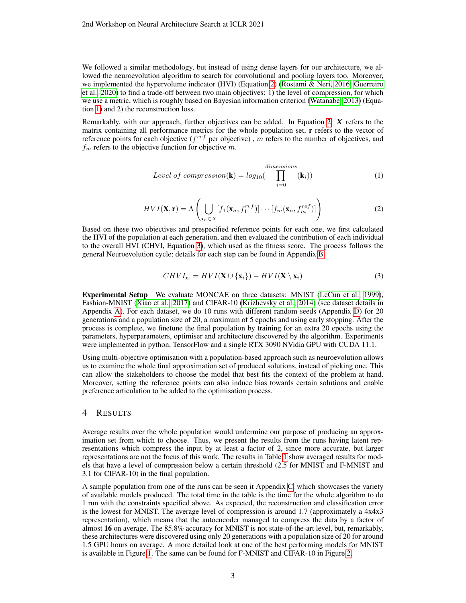We followed a similar methodology, but instead of using dense layers for our architecture, we allowed the neuroevolution algorithm to search for convolutional and pooling layers too. Moreover, we implemented the hypervolume indicator (HVI) (Equation [2\)](#page-2-0) [\(Rostami & Neri, 2016;](#page-5-13) [Guerreiro](#page-4-17) [et al., 2020\)](#page-4-17) to find a trade-off between two main objectives: 1) the level of compression, for which we use a metric, which is roughly based on Bayesian information criterion [\(Watanabe, 2013\)](#page-5-14) (Equation [1\)](#page-2-1) and 2) the reconstruction loss.

Remarkably, with our approach, further objectives can be added. In Equation [2,](#page-2-0)  $X$  refers to the matrix containing all performance metrics for the whole population set, **r** refers to the vector of reference points for each objective ( $f^{ref}$  per objective), m refers to the number of objectives, and  $f_m$  refers to the objective function for objective m.

<span id="page-2-1"></span>
$$
Level\ of\ compression(\mathbf{k}) = log_{10}(\prod_{i=0}^{\text{dimensions}} (\mathbf{k}_i))
$$
 (1)

<span id="page-2-0"></span>
$$
HVI(\mathbf{X}, \mathbf{r}) = \Lambda \left( \bigcup_{\mathbf{x}_n \in X} [f_1(\mathbf{x}_n, f_1^{ref})] \cdots [f_m(\mathbf{x}_n, f_m^{ref})] \right)
$$
(2)

Based on these two objectives and prespecified reference points for each one, we first calculated the HVI of the population at each generation, and then evaluated the contribution of each individual to the overall HVI (CHVI, Equation [3\)](#page-2-2), which used as the fitness score. The process follows the general Neuroevolution cycle; details for each step can be found in Appendix [B.](#page-6-1)

<span id="page-2-2"></span>
$$
CHVI_{\mathbf{x}_i} = HVI(\mathbf{X} \cup \{\mathbf{x}_i\}) - HVI(\mathbf{X} \setminus \mathbf{x}_i)
$$
\n(3)

Experimental Setup We evaluate MONCAE on three datasets: MNIST [\(LeCun et al., 1999\)](#page-5-15), Fashion-MNIST [\(Xiao et al., 2017\)](#page-5-16) and CIFAR-10 [\(Krizhevsky et al., 2014\)](#page-4-18) (see dataset details in Appendix [A\)](#page-6-0). For each dataset, we do 10 runs with different random seeds (Appendix [D\)](#page-7-0) for 20 generations and a population size of 20, a maximum of 5 epochs and using early stopping. After the process is complete, we finetune the final population by training for an extra 20 epochs using the parameters, hyperparameters, optimiser and architecture discovered by the algorithm. Experiments were implemented in python, TensorFlow and a single RTX 3090 NVidia GPU with CUDA 11.1.

Using multi-objective optimisation with a population-based approach such as neuroevolution allows us to examine the whole final approximation set of produced solutions, instead of picking one. This can allow the stakeholders to choose the model that best fits the context of the problem at hand. Moreover, setting the reference points can also induce bias towards certain solutions and enable preference articulation to be added to the optimisation process.

### 4 RESULTS

Average results over the whole population would undermine our purpose of producing an approximation set from which to choose. Thus, we present the results from the runs having latent representations which compress the input by at least a factor of 2, since more accurate, but larger representations are not the focus of this work. The results in Table [1](#page-3-0) show averaged results for models that have a level of compression below a certain threshold (2.5 for MNIST and F-MNIST and 3.1 for CIFAR-10) in the final population.

A sample population from one of the runs can be seen it Appendix [C,](#page-7-1) which showcases the variety of available models produced. The total time in the table is the time for the whole algorithm to do 1 run with the constraints specified above. As expected, the reconstruction and classification error is the lowest for MNIST. The average level of compression is around 1.7 (approximately a 4x4x3 representation), which means that the autoencoder managed to compress the data by a factor of almost 16 on average. The 85.8% accuracy for MNIST is not state-of-the-art level, but, remarkably, these architectures were discovered using only 20 generations with a population size of 20 for around 1.5 GPU hours on average. A more detailed look at one of the best performing models for MNIST is available in Figure [1.](#page-3-1) The same can be found for F-MNIST and CIFAR-10 in Figure [2.](#page-3-2)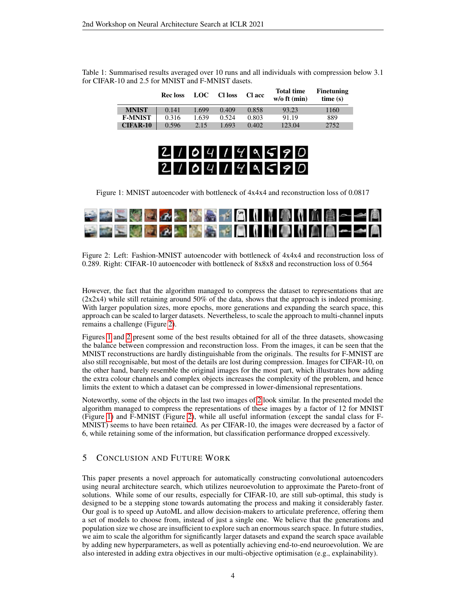<span id="page-3-0"></span>

|                 | <b>Recloss</b> | LOC – | <b>CI</b> loss | <b>C</b> l acc | <b>Total time</b><br>$w/o$ ft (min) | <b>Finetuning</b><br>time(s) |
|-----------------|----------------|-------|----------------|----------------|-------------------------------------|------------------------------|
| <b>MNIST</b>    | 0.141          | 1.699 | 0.409          | 0.858          | 93.23                               | 1160                         |
| <b>F-MNIST</b>  | 0.316          | 1.639 | 0.524          | 0.803          | 91.19                               | 889                          |
| <b>CIFAR-10</b> | 0.596          | 2.15  | .693           | 0.402          | 123.04                              | 2752                         |

Table 1: Summarised results averaged over 10 runs and all individuals with compression below 3.1 for CIFAR-10 and 2.5 for MNIST and F-MNIST dasets.

# $2104149590$  $2104149590$

<span id="page-3-1"></span>Figure 1: MNIST autoencoder with bottleneck of 4x4x4 and reconstruction loss of 0.0817



<span id="page-3-2"></span>Figure 2: Left: Fashion-MNIST autoencoder with bottleneck of 4x4x4 and reconstruction loss of 0.289. Right: CIFAR-10 autoencoder with bottleneck of 8x8x8 and reconstruction loss of 0.564

However, the fact that the algorithm managed to compress the dataset to representations that are  $(2x2x4)$  while still retaining around 50% of the data, shows that the approach is indeed promising. With larger population sizes, more epochs, more generations and expanding the search space, this approach can be scaled to larger datasets. Nevertheless, to scale the approach to multi-channel inputs remains a challenge (Figure [2\)](#page-3-2).

Figures [1](#page-3-1) and [2](#page-3-2) present some of the best results obtained for all of the three datasets, showcasing the balance between compression and reconstruction loss. From the images, it can be seen that the MNIST reconstructions are hardly distinguishable from the originals. The results for F-MNIST are also still recognisable, but most of the details are lost during compression. Images for CIFAR-10, on the other hand, barely resemble the original images for the most part, which illustrates how adding the extra colour channels and complex objects increases the complexity of the problem, and hence limits the extent to which a dataset can be compressed in lower-dimensional representations.

Noteworthy, some of the objects in the last two images of [2](#page-3-2) look similar. In the presented model the algorithm managed to compress the representations of these images by a factor of 12 for MNIST (Figure [1\)](#page-3-1) and F-MNIST (Figure [2\)](#page-3-2), while all useful information (except the sandal class for F-MNIST) seems to have been retained. As per CIFAR-10, the images were decreased by a factor of 6, while retaining some of the information, but classification performance dropped excessively.

### 5 CONCLUSION AND FUTURE WORK

This paper presents a novel approach for automatically constructing convolutional autoencoders using neural architecture search, which utilizes neuroevolution to approximate the Pareto-front of solutions. While some of our results, especially for CIFAR-10, are still sub-optimal, this study is designed to be a stepping stone towards automating the process and making it considerably faster. Our goal is to speed up AutoML and allow decision-makers to articulate preference, offering them a set of models to choose from, instead of just a single one. We believe that the generations and population size we chose are insufficient to explore such an enormous search space. In future studies, we aim to scale the algorithm for significantly larger datasets and expand the search space available by adding new hyperparameters, as well as potentially achieving end-to-end neuroevolution. We are also interested in adding extra objectives in our multi-objective optimisation (e.g., explainability).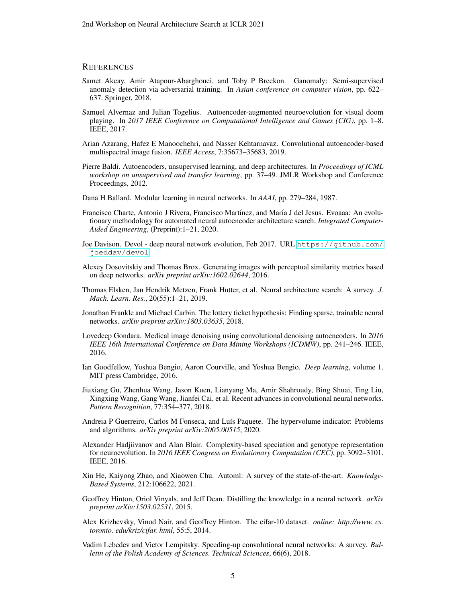### **REFERENCES**

- <span id="page-4-6"></span>Samet Akcay, Amir Atapour-Abarghouei, and Toby P Breckon. Ganomaly: Semi-supervised anomaly detection via adversarial training. In *Asian conference on computer vision*, pp. 622– 637. Springer, 2018.
- <span id="page-4-11"></span>Samuel Alvernaz and Julian Togelius. Autoencoder-augmented neuroevolution for visual doom playing. In *2017 IEEE Conference on Computational Intelligence and Games (CIG)*, pp. 1–8. IEEE, 2017.
- <span id="page-4-8"></span>Arian Azarang, Hafez E Manoochehri, and Nasser Kehtarnavaz. Convolutional autoencoder-based multispectral image fusion. *IEEE Access*, 7:35673–35683, 2019.
- <span id="page-4-4"></span>Pierre Baldi. Autoencoders, unsupervised learning, and deep architectures. In *Proceedings of ICML workshop on unsupervised and transfer learning*, pp. 37–49. JMLR Workshop and Conference Proceedings, 2012.
- <span id="page-4-3"></span>Dana H Ballard. Modular learning in neural networks. In *AAAI*, pp. 279–284, 1987.
- <span id="page-4-2"></span>Francisco Charte, Antonio J Rivera, Francisco Martínez, and María J del Jesus. Evoaaa: An evolutionary methodology for automated neural autoencoder architecture search. *Integrated Computer-Aided Engineering*, (Preprint):1–21, 2020.
- <span id="page-4-13"></span>Joe Davison. Devol - deep neural network evolution, Feb 2017. URL [https://github.com/](https://github.com/joeddav/devol) [joeddav/devol](https://github.com/joeddav/devol).
- <span id="page-4-5"></span>Alexey Dosovitskiy and Thomas Brox. Generating images with perceptual similarity metrics based on deep networks. *arXiv preprint arXiv:1602.02644*, 2016.
- <span id="page-4-9"></span>Thomas Elsken, Jan Hendrik Metzen, Frank Hutter, et al. Neural architecture search: A survey. *J. Mach. Learn. Res.*, 20(55):1–21, 2019.
- <span id="page-4-16"></span>Jonathan Frankle and Michael Carbin. The lottery ticket hypothesis: Finding sparse, trainable neural networks. *arXiv preprint arXiv:1803.03635*, 2018.
- <span id="page-4-7"></span>Lovedeep Gondara. Medical image denoising using convolutional denoising autoencoders. In *2016 IEEE 16th International Conference on Data Mining Workshops (ICDMW)*, pp. 241–246. IEEE, 2016.
- <span id="page-4-0"></span>Ian Goodfellow, Yoshua Bengio, Aaron Courville, and Yoshua Bengio. *Deep learning*, volume 1. MIT press Cambridge, 2016.
- <span id="page-4-12"></span>Jiuxiang Gu, Zhenhua Wang, Jason Kuen, Lianyang Ma, Amir Shahroudy, Bing Shuai, Ting Liu, Xingxing Wang, Gang Wang, Jianfei Cai, et al. Recent advances in convolutional neural networks. *Pattern Recognition*, 77:354–377, 2018.
- <span id="page-4-17"></span>Andreia P Guerreiro, Carlos M Fonseca, and Luís Paquete. The hypervolume indicator: Problems and algorithms. *arXiv preprint arXiv:2005.00515*, 2020.
- <span id="page-4-10"></span>Alexander Hadjiivanov and Alan Blair. Complexity-based speciation and genotype representation for neuroevolution. In *2016 IEEE Congress on Evolutionary Computation (CEC)*, pp. 3092–3101. IEEE, 2016.
- <span id="page-4-1"></span>Xin He, Kaiyong Zhao, and Xiaowen Chu. Automl: A survey of the state-of-the-art. *Knowledge-Based Systems*, 212:106622, 2021.
- <span id="page-4-15"></span>Geoffrey Hinton, Oriol Vinyals, and Jeff Dean. Distilling the knowledge in a neural network. *arXiv preprint arXiv:1503.02531*, 2015.
- <span id="page-4-18"></span>Alex Krizhevsky, Vinod Nair, and Geoffrey Hinton. The cifar-10 dataset. *online: http://www. cs. toronto. edu/kriz/cifar. html*, 55:5, 2014.
- <span id="page-4-14"></span>Vadim Lebedev and Victor Lempitsky. Speeding-up convolutional neural networks: A survey. *Bulletin of the Polish Academy of Sciences. Technical Sciences*, 66(6), 2018.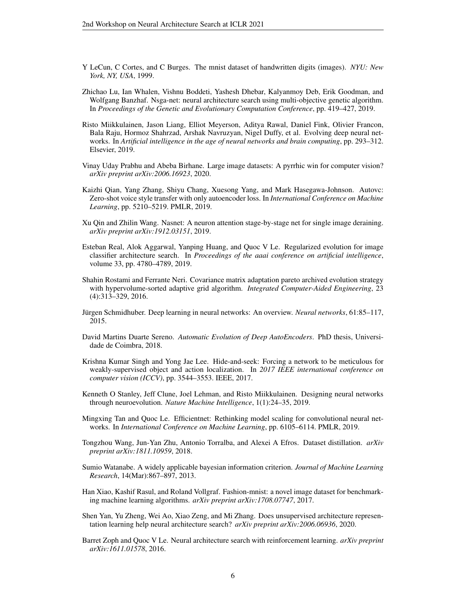- <span id="page-5-15"></span>Y LeCun, C Cortes, and C Burges. The mnist dataset of handwritten digits (images). *NYU: New York, NY, USA*, 1999.
- <span id="page-5-1"></span>Zhichao Lu, Ian Whalen, Vishnu Boddeti, Yashesh Dhebar, Kalyanmoy Deb, Erik Goodman, and Wolfgang Banzhaf. Nsga-net: neural architecture search using multi-objective genetic algorithm. In *Proceedings of the Genetic and Evolutionary Computation Conference*, pp. 419–427, 2019.
- <span id="page-5-2"></span>Risto Miikkulainen, Jason Liang, Elliot Meyerson, Aditya Rawal, Daniel Fink, Olivier Francon, Bala Raju, Hormoz Shahrzad, Arshak Navruzyan, Nigel Duffy, et al. Evolving deep neural networks. In *Artificial intelligence in the age of neural networks and brain computing*, pp. 293–312. Elsevier, 2019.
- <span id="page-5-17"></span>Vinay Uday Prabhu and Abeba Birhane. Large image datasets: A pyrrhic win for computer vision? *arXiv preprint arXiv:2006.16923*, 2020.
- <span id="page-5-7"></span>Kaizhi Qian, Yang Zhang, Shiyu Chang, Xuesong Yang, and Mark Hasegawa-Johnson. Autovc: Zero-shot voice style transfer with only autoencoder loss. In *International Conference on Machine Learning*, pp. 5210–5219. PMLR, 2019.
- <span id="page-5-4"></span>Xu Qin and Zhilin Wang. Nasnet: A neuron attention stage-by-stage net for single image deraining. *arXiv preprint arXiv:1912.03151*, 2019.
- <span id="page-5-3"></span>Esteban Real, Alok Aggarwal, Yanping Huang, and Quoc V Le. Regularized evolution for image classifier architecture search. In *Proceedings of the aaai conference on artificial intelligence*, volume 33, pp. 4780–4789, 2019.
- <span id="page-5-13"></span>Shahin Rostami and Ferrante Neri. Covariance matrix adaptation pareto archived evolution strategy with hypervolume-sorted adaptive grid algorithm. *Integrated Computer-Aided Engineering*, 23 (4):313–329, 2016.
- <span id="page-5-6"></span>Jürgen Schmidhuber. Deep learning in neural networks: An overview. *Neural networks*, 61:85–117, 2015.
- <span id="page-5-10"></span>David Martins Duarte Sereno. *Automatic Evolution of Deep AutoEncoders*. PhD thesis, Universidade de Coimbra, 2018.
- <span id="page-5-12"></span>Krishna Kumar Singh and Yong Jae Lee. Hide-and-seek: Forcing a network to be meticulous for weakly-supervised object and action localization. In *2017 IEEE international conference on computer vision (ICCV)*, pp. 3544–3553. IEEE, 2017.
- <span id="page-5-0"></span>Kenneth O Stanley, Jeff Clune, Joel Lehman, and Risto Miikkulainen. Designing neural networks through neuroevolution. *Nature Machine Intelligence*, 1(1):24–35, 2019.
- <span id="page-5-5"></span>Mingxing Tan and Quoc Le. Efficientnet: Rethinking model scaling for convolutional neural networks. In *International Conference on Machine Learning*, pp. 6105–6114. PMLR, 2019.
- <span id="page-5-11"></span>Tongzhou Wang, Jun-Yan Zhu, Antonio Torralba, and Alexei A Efros. Dataset distillation. *arXiv preprint arXiv:1811.10959*, 2018.
- <span id="page-5-14"></span>Sumio Watanabe. A widely applicable bayesian information criterion. *Journal of Machine Learning Research*, 14(Mar):867–897, 2013.
- <span id="page-5-16"></span>Han Xiao, Kashif Rasul, and Roland Vollgraf. Fashion-mnist: a novel image dataset for benchmarking machine learning algorithms. *arXiv preprint arXiv:1708.07747*, 2017.
- <span id="page-5-8"></span>Shen Yan, Yu Zheng, Wei Ao, Xiao Zeng, and Mi Zhang. Does unsupervised architecture representation learning help neural architecture search? *arXiv preprint arXiv:2006.06936*, 2020.
- <span id="page-5-9"></span>Barret Zoph and Quoc V Le. Neural architecture search with reinforcement learning. *arXiv preprint arXiv:1611.01578*, 2016.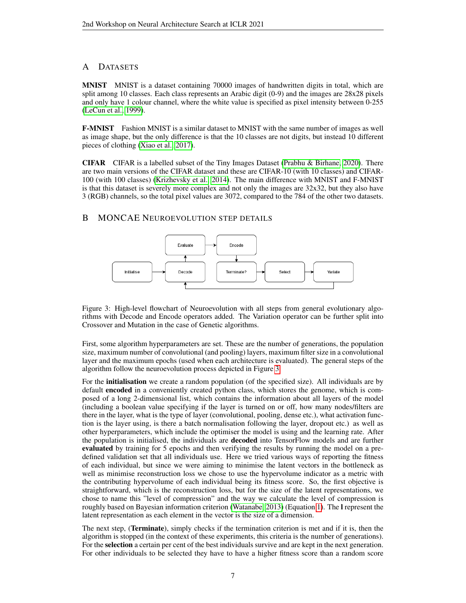# <span id="page-6-0"></span>A DATASETS

MNIST MNIST is a dataset containing 70000 images of handwritten digits in total, which are split among 10 classes. Each class represents an Arabic digit (0-9) and the images are 28x28 pixels and only have 1 colour channel, where the white value is specified as pixel intensity between 0-255 [\(LeCun et al., 1999\)](#page-5-15).

**F-MNIST** Fashion MNIST is a similar dataset to MNIST with the same number of images as well as image shape, but the only difference is that the 10 classes are not digits, but instead 10 different pieces of clothing [\(Xiao et al., 2017\)](#page-5-16).

CIFAR CIFAR is a labelled subset of the Tiny Images Dataset [\(Prabhu & Birhane, 2020\)](#page-5-17). There are two main versions of the CIFAR dataset and these are CIFAR-10 (with 10 classes) and CIFAR-100 (with 100 classes) [\(Krizhevsky et al., 2014\)](#page-4-18). The main difference with MNIST and F-MNIST is that this dataset is severely more complex and not only the images are 32x32, but they also have 3 (RGB) channels, so the total pixel values are 3072, compared to the 784 of the other two datasets.

# <span id="page-6-1"></span>B MONCAE NEUROEVOLUTION STEP DETAILS



<span id="page-6-2"></span>Figure 3: High-level flowchart of Neuroevolution with all steps from general evolutionary algorithms with Decode and Encode operators added. The Variation operator can be further split into Crossover and Mutation in the case of Genetic algorithms.

First, some algorithm hyperparameters are set. These are the number of generations, the population size, maximum number of convolutional (and pooling) layers, maximum filter size in a convolutional layer and the maximum epochs (used when each architecture is evaluated). The general steps of the algorithm follow the neuroevolution process depicted in Figure [3.](#page-6-2)

For the **initialisation** we create a random population (of the specified size). All individuals are by default **encoded** in a conveniently created python class, which stores the genome, which is composed of a long 2-dimensional list, which contains the information about all layers of the model (including a boolean value specifying if the layer is turned on or off, how many nodes/filters are there in the layer, what is the type of layer (convolutional, pooling, dense etc.), what activation function is the layer using, is there a batch normalisation following the layer, dropout etc.) as well as other hyperparameters, which include the optimiser the model is using and the learning rate. After the population is initialised, the individuals are decoded into TensorFlow models and are further evaluated by training for 5 epochs and then verifying the results by running the model on a predefined validation set that all individuals use. Here we tried various ways of reporting the fitness of each individual, but since we were aiming to minimise the latent vectors in the bottleneck as well as minimise reconstruction loss we chose to use the hypervolume indicator as a metric with the contributing hypervolume of each individual being its fitness score. So, the first objective is straightforward, which is the reconstruction loss, but for the size of the latent representations, we chose to name this "level of compression" and the way we calculate the level of compression is roughly based on Bayesian information criterion [\(Watanabe, 2013\)](#page-5-14) (Equation [1\)](#page-2-1). The l represent the latent representation as each element in the vector is the size of a dimension.

The next step, (Terminate), simply checks if the termination criterion is met and if it is, then the algorithm is stopped (in the context of these experiments, this criteria is the number of generations). For the selection a certain per cent of the best individuals survive and are kept in the next generation. For other individuals to be selected they have to have a higher fitness score than a random score